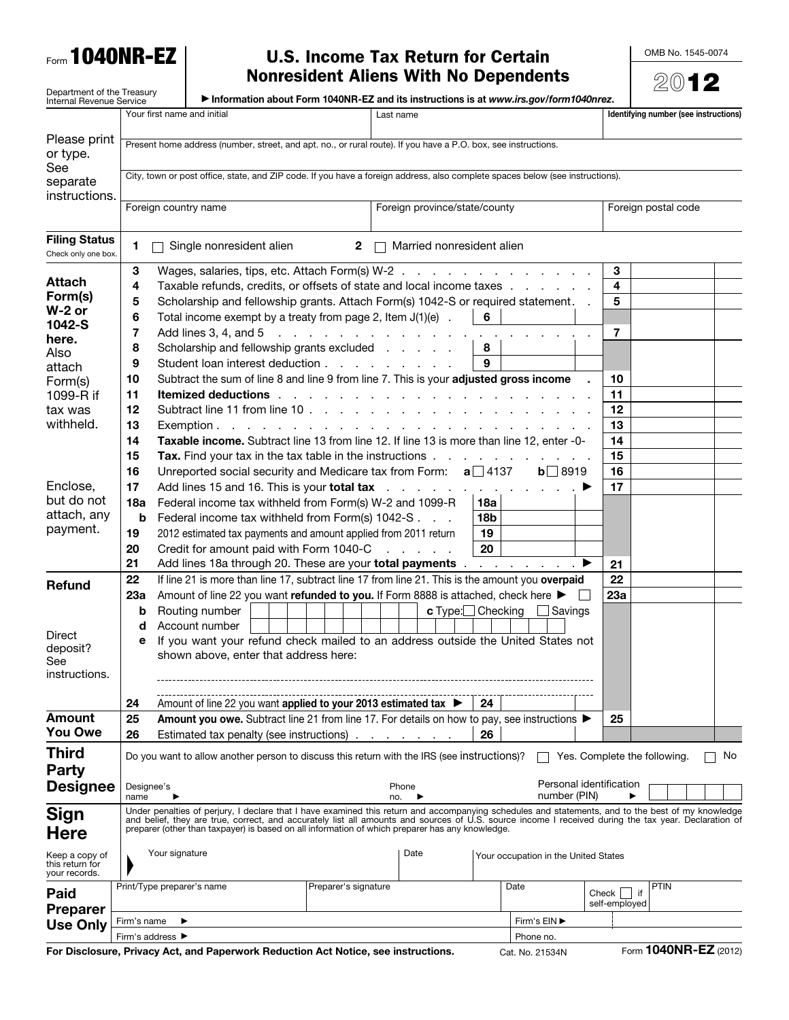

# $F_{\text{form}}$  1040NR-EZ | U.S. Income Tax Return for Certain

OMB No. 1545-0074

|                                                               |                                                                                                                                                                                                                                                                                                                                                                                                              |                                                                                |                                                                                                          |                               | <b>Nonresident Aliens With No Dependents</b>                                                                    |                                      |                     |                                 |             | $20$ 12                               |
|---------------------------------------------------------------|--------------------------------------------------------------------------------------------------------------------------------------------------------------------------------------------------------------------------------------------------------------------------------------------------------------------------------------------------------------------------------------------------------------|--------------------------------------------------------------------------------|----------------------------------------------------------------------------------------------------------|-------------------------------|-----------------------------------------------------------------------------------------------------------------|--------------------------------------|---------------------|---------------------------------|-------------|---------------------------------------|
| Department of the Treasury<br><b>Internal Revenue Service</b> |                                                                                                                                                                                                                                                                                                                                                                                                              |                                                                                | Information about Form 1040NR-EZ and its instructions is at www.irs.gov/form1040nrez.                    |                               |                                                                                                                 |                                      |                     |                                 |             |                                       |
|                                                               |                                                                                                                                                                                                                                                                                                                                                                                                              |                                                                                | Your first name and initial                                                                              |                               | Last name                                                                                                       |                                      |                     |                                 |             | Identifying number (see instructions) |
| Please print<br>or type.                                      | Present home address (number, street, and apt. no., or rural route). If you have a P.O. box, see instructions.                                                                                                                                                                                                                                                                                               |                                                                                |                                                                                                          |                               |                                                                                                                 |                                      |                     |                                 |             |                                       |
| See<br>separate<br>instructions.                              | City, town or post office, state, and ZIP code. If you have a foreign address, also complete spaces below (see instructions).                                                                                                                                                                                                                                                                                |                                                                                |                                                                                                          |                               |                                                                                                                 |                                      |                     |                                 |             |                                       |
|                                                               | Foreign country name                                                                                                                                                                                                                                                                                                                                                                                         |                                                                                |                                                                                                          | Foreign province/state/county |                                                                                                                 |                                      | Foreign postal code |                                 |             |                                       |
| <b>Filing Status</b><br>Check only one box.                   | 1                                                                                                                                                                                                                                                                                                                                                                                                            |                                                                                | Single nonresident alien                                                                                 | $\mathbf{2}$                  | Married nonresident alien                                                                                       |                                      |                     |                                 |             |                                       |
|                                                               | 3                                                                                                                                                                                                                                                                                                                                                                                                            |                                                                                | Wages, salaries, tips, etc. Attach Form(s) W-2                                                           |                               |                                                                                                                 |                                      |                     | 3                               |             |                                       |
| Attach                                                        | 4                                                                                                                                                                                                                                                                                                                                                                                                            |                                                                                | Taxable refunds, credits, or offsets of state and local income taxes                                     |                               |                                                                                                                 |                                      |                     | 4                               |             |                                       |
| Form(s)<br>$W-2$ or                                           | 5<br>Scholarship and fellowship grants. Attach Form(s) 1042-S or required statement. .                                                                                                                                                                                                                                                                                                                       |                                                                                |                                                                                                          |                               |                                                                                                                 | 5                                    |                     |                                 |             |                                       |
| 1042-S                                                        | 6                                                                                                                                                                                                                                                                                                                                                                                                            |                                                                                | Total income exempt by a treaty from page 2, Item $J(1)(e)$ .                                            |                               |                                                                                                                 | 6                                    |                     |                                 |             |                                       |
| here.                                                         | 7                                                                                                                                                                                                                                                                                                                                                                                                            |                                                                                | Add lines 3, 4, and 5                                                                                    |                               |                                                                                                                 |                                      |                     | $\overline{7}$                  |             |                                       |
| Also                                                          | 8                                                                                                                                                                                                                                                                                                                                                                                                            |                                                                                | Scholarship and fellowship grants excluded                                                               |                               |                                                                                                                 | 8                                    |                     |                                 |             |                                       |
| attach                                                        | 9                                                                                                                                                                                                                                                                                                                                                                                                            |                                                                                | Student loan interest deduction                                                                          |                               |                                                                                                                 | 9                                    |                     |                                 |             |                                       |
| Form(s)                                                       | 10                                                                                                                                                                                                                                                                                                                                                                                                           |                                                                                | Subtract the sum of line 8 and line 9 from line 7. This is your adjusted gross income                    |                               |                                                                                                                 |                                      |                     | 10                              |             |                                       |
| 1099-R if                                                     | 11                                                                                                                                                                                                                                                                                                                                                                                                           |                                                                                | Itemized deductions.                                                                                     |                               | the contract of the contract of the contract of the contract of the contract of the contract of the contract of |                                      |                     | 11                              |             |                                       |
| tax was                                                       | 12                                                                                                                                                                                                                                                                                                                                                                                                           |                                                                                |                                                                                                          |                               |                                                                                                                 |                                      |                     | 12                              |             |                                       |
| withheld.                                                     | 13                                                                                                                                                                                                                                                                                                                                                                                                           |                                                                                |                                                                                                          |                               |                                                                                                                 |                                      |                     | 13                              |             |                                       |
|                                                               | 14                                                                                                                                                                                                                                                                                                                                                                                                           |                                                                                | Taxable income. Subtract line 13 from line 12. If line 13 is more than line 12, enter -0-                |                               |                                                                                                                 |                                      |                     | 14                              |             |                                       |
|                                                               | 15                                                                                                                                                                                                                                                                                                                                                                                                           |                                                                                | <b>Tax.</b> Find your tax in the tax table in the instructions $\ldots$ , $\ldots$ , $\ldots$ , $\ldots$ |                               |                                                                                                                 |                                      |                     | 15                              |             |                                       |
|                                                               | 16                                                                                                                                                                                                                                                                                                                                                                                                           |                                                                                | Unreported social security and Medicare tax from Form: $a \Box 4137$                                     |                               |                                                                                                                 |                                      | $b \square 8919$    | 16                              |             |                                       |
| Enclose,                                                      | 17                                                                                                                                                                                                                                                                                                                                                                                                           | Add lines 15 and 16. This is your total tax<br>and a series of the contract of |                                                                                                          |                               |                                                                                                                 |                                      |                     |                                 |             |                                       |
| but do not                                                    | 18a                                                                                                                                                                                                                                                                                                                                                                                                          |                                                                                | Federal income tax withheld from Form(s) W-2 and 1099-R                                                  |                               |                                                                                                                 | 18a                                  |                     | 17                              |             |                                       |
| attach, any                                                   | b                                                                                                                                                                                                                                                                                                                                                                                                            | 18 <sub>b</sub><br>Federal income tax withheld from Form(s) 1042-S             |                                                                                                          |                               |                                                                                                                 |                                      |                     |                                 |             |                                       |
| payment.                                                      | 19<br>19<br>2012 estimated tax payments and amount applied from 2011 return                                                                                                                                                                                                                                                                                                                                  |                                                                                |                                                                                                          |                               |                                                                                                                 |                                      |                     |                                 |             |                                       |
|                                                               | 20                                                                                                                                                                                                                                                                                                                                                                                                           |                                                                                | Credit for amount paid with Form 1040-C                                                                  |                               | and a state of                                                                                                  | 20                                   |                     |                                 |             |                                       |
|                                                               | 21                                                                                                                                                                                                                                                                                                                                                                                                           |                                                                                | Add lines 18a through 20. These are your total payments ▶                                                |                               |                                                                                                                 |                                      |                     | 21                              |             |                                       |
|                                                               | 22                                                                                                                                                                                                                                                                                                                                                                                                           |                                                                                | If line 21 is more than line 17, subtract line 17 from line 21. This is the amount you overpaid          |                               |                                                                                                                 |                                      |                     | 22                              |             |                                       |
| <b>Refund</b>                                                 | 23а                                                                                                                                                                                                                                                                                                                                                                                                          |                                                                                | Amount of line 22 you want refunded to you. If Form 8888 is attached, check here ▶                       |                               |                                                                                                                 |                                      |                     | 23a                             |             |                                       |
|                                                               | b                                                                                                                                                                                                                                                                                                                                                                                                            |                                                                                | Routing number                                                                                           |                               | c Type:□ Checking                                                                                               |                                      | $\Box$ Savings      |                                 |             |                                       |
|                                                               |                                                                                                                                                                                                                                                                                                                                                                                                              |                                                                                |                                                                                                          |                               |                                                                                                                 |                                      |                     |                                 |             |                                       |
| <b>Direct</b>                                                 | Account number<br>d<br>If you want your refund check mailed to an address outside the United States not                                                                                                                                                                                                                                                                                                      |                                                                                |                                                                                                          |                               |                                                                                                                 |                                      |                     |                                 |             |                                       |
| deposit?<br>See<br>instructions.                              | е<br>shown above, enter that address here:                                                                                                                                                                                                                                                                                                                                                                   |                                                                                |                                                                                                          |                               |                                                                                                                 |                                      |                     |                                 |             |                                       |
|                                                               | 24                                                                                                                                                                                                                                                                                                                                                                                                           |                                                                                | Amount of line 22 you want applied to your 2013 estimated tax ▶                                          |                               |                                                                                                                 | 24                                   |                     |                                 |             |                                       |
| Amount                                                        | 25                                                                                                                                                                                                                                                                                                                                                                                                           |                                                                                | Amount you owe. Subtract line 21 from line 17. For details on how to pay, see instructions ▶             |                               |                                                                                                                 |                                      |                     | 25                              |             |                                       |
| You Owe                                                       | 26                                                                                                                                                                                                                                                                                                                                                                                                           |                                                                                | Estimated tax penalty (see instructions)                                                                 |                               |                                                                                                                 | 26                                   |                     |                                 |             |                                       |
| <b>Third</b><br><b>Party</b>                                  |                                                                                                                                                                                                                                                                                                                                                                                                              |                                                                                | Do you want to allow another person to discuss this return with the IRS (see instructions)?              |                               |                                                                                                                 |                                      |                     | Yes. Complete the following.    |             | No                                    |
| <b>Designee</b>                                               | Designee's<br>name                                                                                                                                                                                                                                                                                                                                                                                           |                                                                                |                                                                                                          |                               | Phone<br>no.                                                                                                    |                                      | number (PIN)        | Personal identification         |             |                                       |
| <b>Sign</b><br>Here                                           | Under penalties of perjury, I declare that I have examined this return and accompanying schedules and statements, and to the best of my knowledge<br>and belief, they are true, correct, and accurately list all amounts and sources of U.S. source income I received during the tax year. Declaration of<br>preparer (other than taxpayer) is based on all information of which preparer has any knowledge. |                                                                                |                                                                                                          |                               |                                                                                                                 |                                      |                     |                                 |             |                                       |
| Keep a copy of<br>this return for<br>your records.            | Your signature<br>Date                                                                                                                                                                                                                                                                                                                                                                                       |                                                                                |                                                                                                          |                               |                                                                                                                 | Your occupation in the United States |                     |                                 |             |                                       |
| Paid<br><b>Preparer</b>                                       |                                                                                                                                                                                                                                                                                                                                                                                                              |                                                                                | Print/Type preparer's name                                                                               | Preparer's signature          |                                                                                                                 |                                      | Date                | $Check$     if<br>self-employed | <b>PTIN</b> |                                       |
| <b>Use Only</b>                                               | Firm's EIN ▶<br>Firm's name                                                                                                                                                                                                                                                                                                                                                                                  |                                                                                |                                                                                                          |                               |                                                                                                                 |                                      |                     |                                 |             |                                       |
|                                                               | Firm's address ▶<br>Phone no.                                                                                                                                                                                                                                                                                                                                                                                |                                                                                |                                                                                                          |                               |                                                                                                                 |                                      |                     |                                 |             |                                       |

For Disclosure, Privacy Act, and Paperwork Reduction Act Notice, see instructions. Cat. No. 21534N Form 1040NR-EZ (2012)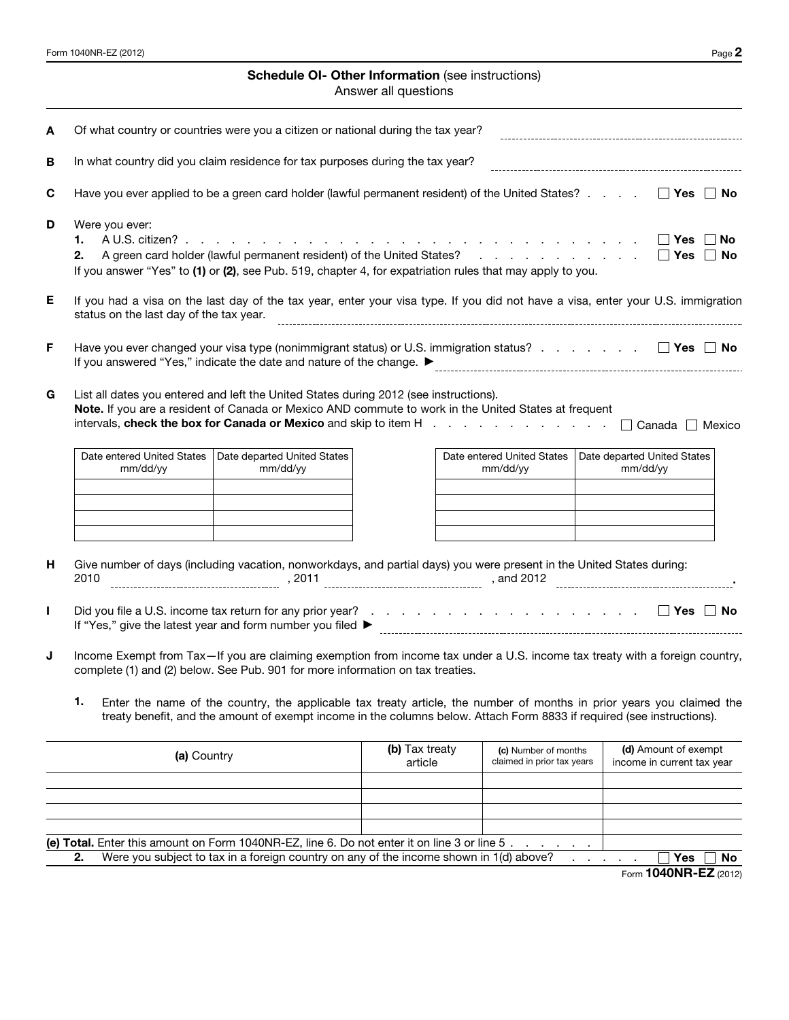

### **IRS Federal Income Tax Form for Tax Year 2012**

(Jan. 1, 2012 - Dec. 31, 2012)

You can prepare and efile this tax form as part of your 2012 Tax Return from:

### **Early Jan. 2013, until late October, 2013**

You will just need to answer a few tax questions and the efile.com software will select the correct tax forms for you.

[You can start, prepare, and efile your tax return now](http://www.efile.com/)

---------------------------------------------------- **Important Notice**

**If you need to file a 2012 Tax Return after October 2013 you have the following options:**

**1. After October 2013 you can no longer efile a 2012 Tax Return**

**2. You can download this form and [mail it to the IRS](http://www.efile.com/where-to-mail-tax-return-form-irs-mailing-address-for-refund/)**

**3.** [Work with an efile.com LIVE TaxPro \(Accountant/CPA\) online](http://www.efile.com/tax-preparer/start-working-with-a-tax-pro/)

----------------------------------------------------



If you need to prepare tax returns for all other Tax Years please visit this page:

[Forms for back taxes or previous year tax returns](http://www.efile.com/federal-income-tax-return-forms-prior-past-previous-irs-years/)

OR

## [You can work with an efile.com LIVE TaxPro online](http://www.efile.com/tax-preparer/start-working-with-a-tax-pro/)

- Find a wide range of current [IRS Tax Publications](http://www.efile.com/irs-publication/irs-publications/) on efile.com.
- View a complete list of **Federal Tax Forms** that can be prepared online and efiled together with [State Tax Forms.](http://www.efile.com/state-tax/state-income-tax/)
- Find many relevant Tax Tools here e.g. TaxStimator, Head of Household, Dependent, Qualifying Relative Educators. [efile.com Tax Tools, Educators and Estimators](http://www.efile.com/tax-estimate-calculation-free-help-advice-app-tools/)
- Get online [answers to your tax questions.](http://www.efile.com/tax-help/tax-help/)
- If you have further questions, please [contact an efile.com support representative.](http://www.efile.com/contact)
- Work with a [tax professional LIVE online](http://www.efile.com/tax-preparer/start-working-with-a-tax-pro/) to prepare your return.